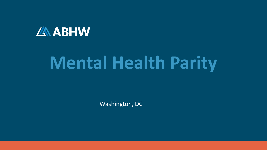

# **Mental Health Parity**

Washington, DC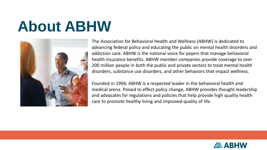# **About ABHW**



The Association for Behavioral Health and Wellness (ABHW) is dedicated to advancing federal policy and educating the public on mental health disorders and addiction care. ABHW is the national voice for payers that manage behavioral health insurance benefits. ABHW member companies provide coverage to over 200 million people in both the public and private sectors to treat mental health disorders, substance use disorders, and other behaviors that impact wellness.

Founded in 1994, ABHW is a respected leader in the behavioral health and medical arena. Poised to effect policy change, ABHW provides thought leadership and advocates for regulations and policies that help provide high quality health care to promote healthy living and improved quality of life.

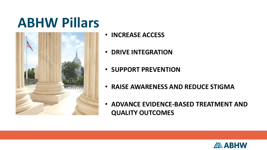# **ABHW Pillars**



- **INCREASE ACCESS**
- **DRIVE INTEGRATION**
- **SUPPORT PREVENTION**
- **RAISE AWARENESS AND REDUCE STIGMA**
- **ADVANCE EVIDENCE-BASED TREATMENT AND QUALITY OUTCOMES**

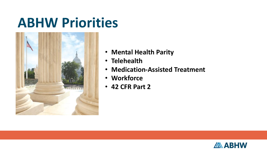# **ABHW Priorities**



- **Mental Health Parity**
- **Telehealth**
- **Medication-Assisted Treatment**
- **Workforce**
- **42 CFR Part 2**

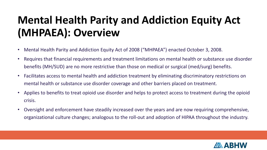#### **Mental Health Parity and Addiction Equity Act (MHPAEA): Overview**

- Mental Health Parity and Addiction Equity Act of 2008 ("MHPAEA") enacted October 3, 2008.
- Requires that financial requirements and treatment limitations on mental health or substance use disorder benefits (MH/SUD) are no more restrictive than those on medical or surgical (med/surg) benefits.
- Facilitates access to mental health and addiction treatment by eliminating discriminatory restrictions on mental health or substance use disorder coverage and other barriers placed on treatment.
- Applies to benefits to treat opioid use disorder and helps to protect access to treatment during the opioid crisis.
- Oversight and enforcement have steadily increased over the years and are now requiring comprehensive, organizational culture changes; analogous to the roll-out and adoption of HIPAA throughout the industry.

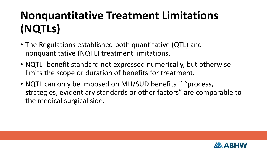### **Nonquantitative Treatment Limitations (NQTLs)**

- The Regulations established both quantitative (QTL) and nonquantitative (NQTL) treatment limitations.
- NQTL- benefit standard not expressed numerically, but otherwise limits the scope or duration of benefits for treatment.
- NQTL can only be imposed on MH/SUD benefits if "process, strategies, evidentiary standards or other factors" are comparable to the medical surgical side.

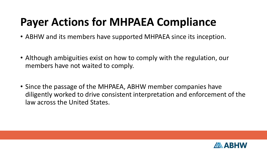#### **Payer Actions for MHPAEA Compliance**

- ABHW and its members have supported MHPAEA since its inception.
- Although ambiguities exist on how to comply with the regulation, our members have not waited to comply.
- Since the passage of the MHPAEA, ABHW member companies have diligently worked to drive consistent interpretation and enforcement of the law across the United States.

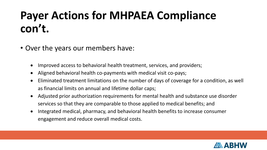#### **Payer Actions for MHPAEA Compliance con't.**

- Over the years our members have:
	- Improved access to behavioral health treatment, services, and providers;
	- Aligned behavioral health co-payments with medical visit co-pays;
	- Eliminated treatment limitations on the number of days of coverage for a condition, as well as financial limits on annual and lifetime dollar caps;
	- Adjusted prior authorization requirements for mental health and substance use disorder services so that they are comparable to those applied to medical benefits; and
	- Integrated medical, pharmacy, and behavioral health benefits to increase consumer engagement and reduce overall medical costs.

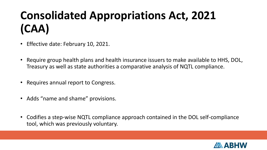#### **Consolidated Appropriations Act, 2021 (CAA)**

- Effective date: February 10, 2021.
- Require group health plans and health insurance issuers to make available to HHS, DOL, Treasury as well as state authorities a comparative analysis of NQTL compliance.
- Requires annual report to Congress.
- Adds "name and shame" provisions.
- Codifies a step-wise NQTL compliance approach contained in the DOL self-compliance tool, which was previously voluntary.

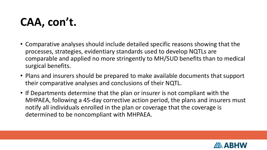#### **CAA, con't.**

- Comparative analyses should include detailed specific reasons showing that the processes, strategies, evidentiary standards used to develop NQTLs are comparable and applied no more stringently to MH/SUD benefits than to medical surgical benefits.
- Plans and insurers should be prepared to make available documents that support their comparative analyses and conclusions of their NQTL.
- If Departments determine that the plan or insurer is not compliant with the MHPAEA, following a 45-day corrective action period, the plans and insurers must notify all individuals enrolled in the plan or coverage that the coverage is determined to be noncompliant with MHPAEA.

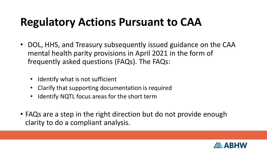#### **Regulatory Actions Pursuant to CAA**

- DOL, HHS, and Treasury subsequently issued guidance on the CAA mental health parity provisions in April 2021 in the form of frequently asked questions (FAQs). The FAQs:
	- Identify what is not sufficient
	- Clarify that supporting documentation is required
	- Identify NQTL focus areas for the short term
- FAQs are a step in the right direction but do not provide enough clarity to do a compliant analysis.

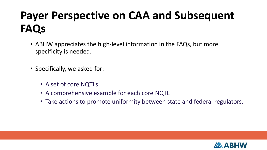#### **Payer Perspective on CAA and Subsequent FAQs**

- ABHW appreciates the high-level information in the FAQs, but more specificity is needed.
- Specifically, we asked for:
	- A set of core NQTLs
	- A comprehensive example for each core NQTL
	- Take actions to promote uniformity between state and federal regulators.

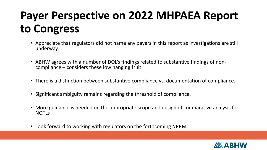#### **Payer Perspective on 2022 MHPAEA Report to Congress**

- Appreciate that regulators did not name any payers in this report as investigations are still underway.
- ABHW agrees with a number of DOL's findings related to substantive findings of noncompliance – considers these low hanging fruit.
- There is a distinction between substantive compliance vs. documentation of compliance.
- Significant ambiguity remains regarding the threshold of compliance.
- More guidance is needed on the appropriate scope and design of comparative analysis for NQTLs
- Look forward to working with regulators on the forthcoming NPRM.

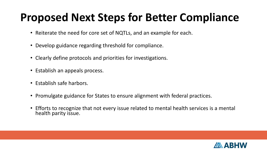#### **Proposed Next Steps for Better Compliance**

- Reiterate the need for core set of NQTLs, and an example for each.
- Develop guidance regarding threshold for compliance.
- Clearly define protocols and priorities for investigations.
- Establish an appeals process.
- Establish safe harbors.
- Promulgate guidance for States to ensure alignment with federal practices.
- Efforts to recognize that not every issue related to mental health services is a mental health parity issue.